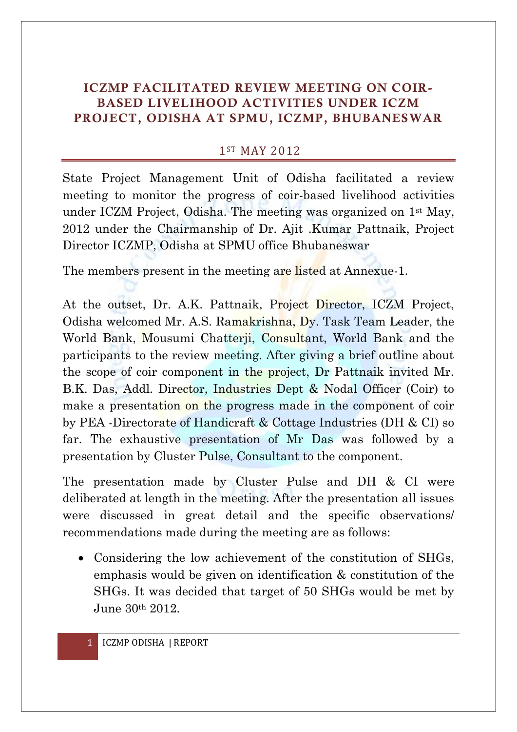## **ICZMP FACILITATED REVIEW MEETING ON COIR-BASED LIVELIHOOD ACTIVITIES UNDER ICZM PROJECT, ODISHA AT SPMU, ICZMP, BHUBANESWAR**

## 1ST MAY 2012

State Project Management Unit of Odisha facilitated a review meeting to monitor the progress of coir-based livelihood activities under ICZM Project, Odisha. The meeting was organized on 1st May, 2012 under the Chairmanship of Dr. Ajit .Kumar Pattnaik, Project Director ICZMP, Odisha at SPMU office Bhubaneswar

The members present in the meeting are listed at Annexue-1.

At the outset, Dr. A.K. Pattnaik, Project Director, ICZM Project, Odisha welcomed Mr. A.S. Ramakrishna, Dy. Task Team Leader, the World Bank, Mousumi Chatterji, Consultant, World Bank and the participants to the review meeting. After giving a brief outline about the scope of coir component in the project, Dr Pattnaik invited Mr. B.K. Das, Addl. Director, Industries Dept & Nodal Officer (Coir) to make a presentation on the progress made in the component of coir by PEA -Directorate of Handicraft & Cottage Industries (DH & CI) so far. The exhaustive presentation of Mr Das was followed by a presentation by Cluster Pulse, Consultant to the component.

The presentation made by Cluster Pulse and DH & CI were deliberated at length in the meeting. After the presentation all issues were discussed in great detail and the specific observations/ recommendations made during the meeting are as follows:

• Considering the low achievement of the constitution of SHGs, emphasis would be given on identification & constitution of the SHGs. It was decided that target of 50 SHGs would be met by June 30th 2012.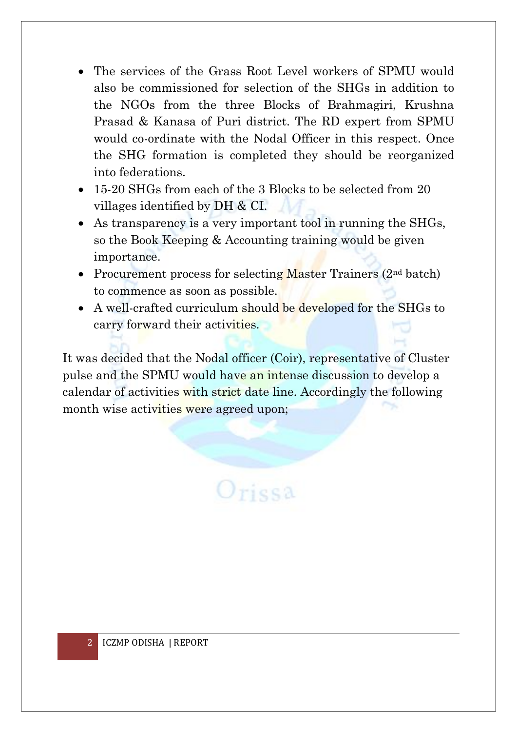- The services of the Grass Root Level workers of SPMU would also be commissioned for selection of the SHGs in addition to the NGOs from the three Blocks of Brahmagiri, Krushna Prasad & Kanasa of Puri district. The RD expert from SPMU would co-ordinate with the Nodal Officer in this respect. Once the SHG formation is completed they should be reorganized into federations.
- 15-20 SHGs from each of the 3 Blocks to be selected from 20 villages identified by DH & CI.
- As transparency is a very important tool in running the SHGs, so the Book Keeping & Accounting training would be given importance.
- Procurement process for selecting Master Trainers  $(2<sup>nd</sup> batch)$ to commence as soon as possible.
- A well-crafted curriculum should be developed for the SHGs to carry forward their activities.

It was decided that the Nodal officer (Coir), representative of Cluster pulse and the SPMU would have an intense discussion to develop a calendar of activities with strict date line. Accordingly the following month wise activities were agreed upon;

 $O$ rissa